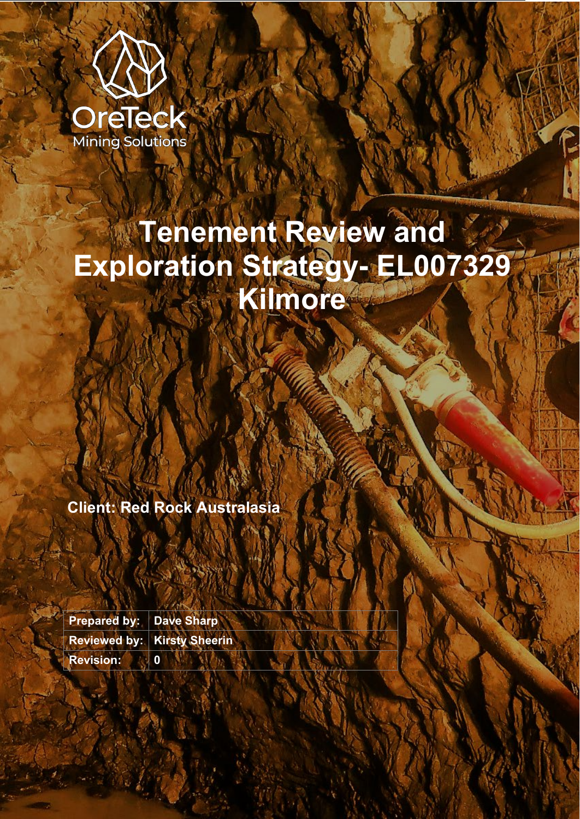

# **Tenement Review and Exploration Strategy- EL007329 Kilmore**

**Client: Red Rock Australasia**

**Prepared by: Dave Sharp Reviewed by: Kirsty Sheerin Revision: 0**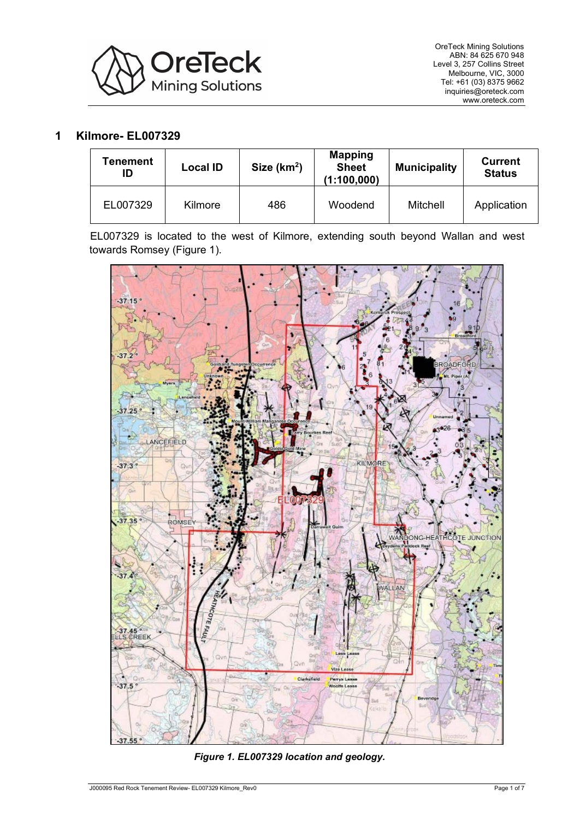

## **1 Kilmore- EL007329**

| <b>Fenement</b><br>ID | <b>Local ID</b> | Size $(km2)$ | <b>Mapping</b><br><b>Sheet</b><br>(1:100,000) | <b>Municipality</b> | <b>Current</b><br><b>Status</b> |
|-----------------------|-----------------|--------------|-----------------------------------------------|---------------------|---------------------------------|
| EL007329              | Kilmore         | 486          | Woodend                                       | Mitchell            | Application                     |

EL007329 is located to the west of Kilmore, extending south beyond Wallan and west towards Romsey [\(Figure 1\)](#page-1-0).



<span id="page-1-0"></span>*Figure 1. EL007329 location and geology.*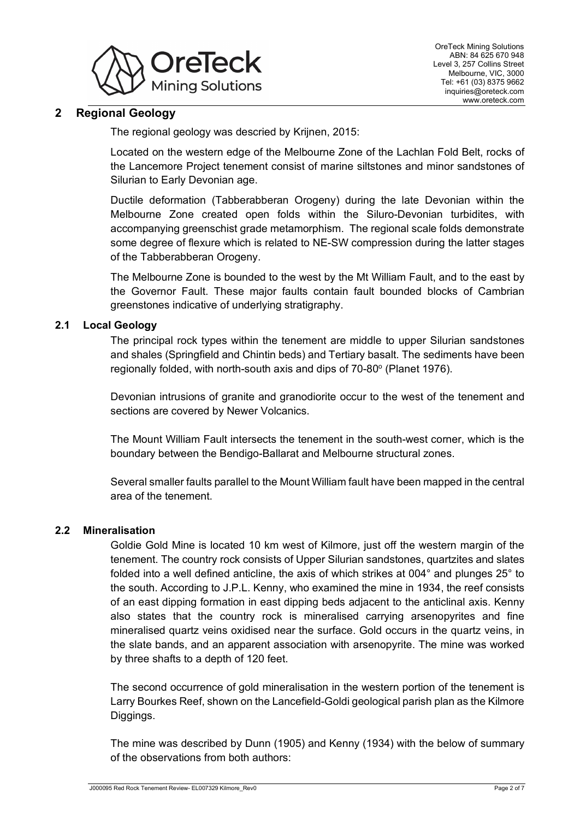

# **2 Regional Geology**

The regional geology was descried by Krijnen, 2015:

Located on the western edge of the Melbourne Zone of the Lachlan Fold Belt, rocks of the Lancemore Project tenement consist of marine siltstones and minor sandstones of Silurian to Early Devonian age.

Ductile deformation (Tabberabberan Orogeny) during the late Devonian within the Melbourne Zone created open folds within the Siluro-Devonian turbidites, with accompanying greenschist grade metamorphism. The regional scale folds demonstrate some degree of flexure which is related to NE-SW compression during the latter stages of the Tabberabberan Orogeny.

The Melbourne Zone is bounded to the west by the Mt William Fault, and to the east by the Governor Fault. These major faults contain fault bounded blocks of Cambrian greenstones indicative of underlying stratigraphy.

#### **2.1 Local Geology**

The principal rock types within the tenement are middle to upper Silurian sandstones and shales (Springfield and Chintin beds) and Tertiary basalt. The sediments have been regionally folded, with north-south axis and dips of 70-80° (Planet 1976).

Devonian intrusions of granite and granodiorite occur to the west of the tenement and sections are covered by Newer Volcanics.

The Mount William Fault intersects the tenement in the south-west corner, which is the boundary between the Bendigo-Ballarat and Melbourne structural zones.

Several smaller faults parallel to the Mount William fault have been mapped in the central area of the tenement.

#### **2.2 Mineralisation**

Goldie Gold Mine is located 10 km west of Kilmore, just off the western margin of the tenement. The country rock consists of Upper Silurian sandstones, quartzites and slates folded into a well defined anticline, the axis of which strikes at 004° and plunges 25° to the south. According to J.P.L. Kenny, who examined the mine in 1934, the reef consists of an east dipping formation in east dipping beds adjacent to the anticlinal axis. Kenny also states that the country rock is mineralised carrying arsenopyrites and fine mineralised quartz veins oxidised near the surface. Gold occurs in the quartz veins, in the slate bands, and an apparent association with arsenopyrite. The mine was worked by three shafts to a depth of 120 feet.

The second occurrence of gold mineralisation in the western portion of the tenement is Larry Bourkes Reef, shown on the Lancefield-Goldi geological parish plan as the Kilmore Diggings.

The mine was described by Dunn (1905) and Kenny (1934) with the below of summary of the observations from both authors: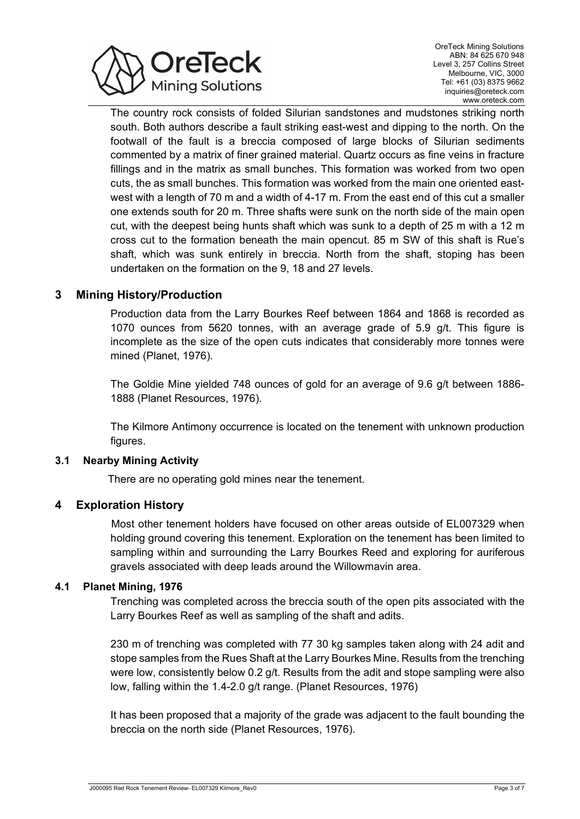

The country rock consists of folded Silurian sandstones and mudstones striking north south. Both authors describe a fault striking east-west and dipping to the north. On the footwall of the fault is a breccia composed of large blocks of Silurian sediments commented by a matrix of finer grained material. Quartz occurs as fine veins in fracture fillings and in the matrix as small bunches. This formation was worked from two open cuts, the as small bunches. This formation was worked from the main one oriented eastwest with a length of 70 m and a width of 4-17 m. From the east end of this cut a smaller one extends south for 20 m. Three shafts were sunk on the north side of the main open cut, with the deepest being hunts shaft which was sunk to a depth of 25 m with a 12 m cross cut to the formation beneath the main opencut. 85 m SW of this shaft is Rue's shaft, which was sunk entirely in breccia. North from the shaft, stoping has been undertaken on the formation on the 9, 18 and 27 levels.

## **3 Mining History/Production**

Production data from the Larry Bourkes Reef between 1864 and 1868 is recorded as 1070 ounces from 5620 tonnes, with an average grade of 5.9 g/t. This figure is incomplete as the size of the open cuts indicates that considerably more tonnes were mined (Planet, 1976).

The Goldie Mine yielded 748 ounces of gold for an average of 9.6 g/t between 1886- 1888 (Planet Resources, 1976).

The Kilmore Antimony occurrence is located on the tenement with unknown production figures.

## **3.1 Nearby Mining Activity**

There are no operating gold mines near the tenement.

## **4 Exploration History**

Most other tenement holders have focused on other areas outside of EL007329 when holding ground covering this tenement. Exploration on the tenement has been limited to sampling within and surrounding the Larry Bourkes Reed and exploring for auriferous gravels associated with deep leads around the Willowmavin area.

#### **4.1 Planet Mining, 1976**

Trenching was completed across the breccia south of the open pits associated with the Larry Bourkes Reef as well as sampling of the shaft and adits.

230 m of trenching was completed with 77 30 kg samples taken along with 24 adit and stope samples from the Rues Shaft at the Larry Bourkes Mine. Results from the trenching were low, consistently below 0.2 g/t. Results from the adit and stope sampling were also low, falling within the 1.4-2.0 g/t range. (Planet Resources, 1976)

It has been proposed that a majority of the grade was adjacent to the fault bounding the breccia on the north side (Planet Resources, 1976).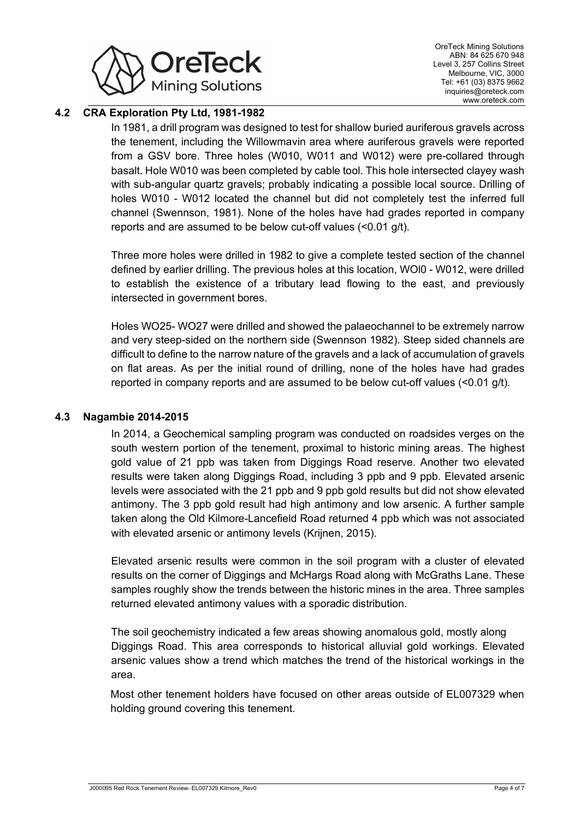

## **4.2 CRA Exploration Pty Ltd, 1981-1982**

In 1981, a drill program was designed to test for shallow buried auriferous gravels across the tenement, including the Willowmavin area where auriferous gravels were reported from a GSV bore. Three holes (W010, W011 and W012) were pre-collared through basalt. Hole W010 was been completed by cable tool. This hole intersected clayey wash with sub-angular quartz gravels; probably indicating a possible local source. Drilling of holes W010 - W012 located the channel but did not completely test the inferred full channel (Swennson, 1981). None of the holes have had grades reported in company reports and are assumed to be below cut-off values (<0.01 g/t).

Three more holes were drilled in 1982 to give a complete tested section of the channel defined by earlier drilling. The previous holes at this location, WOl0 - W012, were drilled to establish the existence of a tributary lead flowing to the east, and previously intersected in government bores.

Holes WO25- WO27 were drilled and showed the palaeochannel to be extremely narrow and very steep-sided on the northern side (Swennson 1982). Steep sided channels are difficult to define to the narrow nature of the gravels and a lack of accumulation of gravels on flat areas. As per the initial round of drilling, none of the holes have had grades reported in company reports and are assumed to be below cut-off values (<0.01 g/t).

#### **4.3 Nagambie 2014-2015**

In 2014, a Geochemical sampling program was conducted on roadsides verges on the south western portion of the tenement, proximal to historic mining areas. The highest gold value of 21 ppb was taken from Diggings Road reserve. Another two elevated results were taken along Diggings Road, including 3 ppb and 9 ppb. Elevated arsenic levels were associated with the 21 ppb and 9 ppb gold results but did not show elevated antimony. The 3 ppb gold result had high antimony and low arsenic. A further sample taken along the Old Kilmore-Lancefield Road returned 4 ppb which was not associated with elevated arsenic or antimony levels (Krijnen, 2015).

Elevated arsenic results were common in the soil program with a cluster of elevated results on the corner of Diggings and McHargs Road along with McGraths Lane. These samples roughly show the trends between the historic mines in the area. Three samples returned elevated antimony values with a sporadic distribution.

The soil geochemistry indicated a few areas showing anomalous gold, mostly along Diggings Road. This area corresponds to historical alluvial gold workings. Elevated arsenic values show a trend which matches the trend of the historical workings in the area.

Most other tenement holders have focused on other areas outside of EL007329 when holding ground covering this tenement.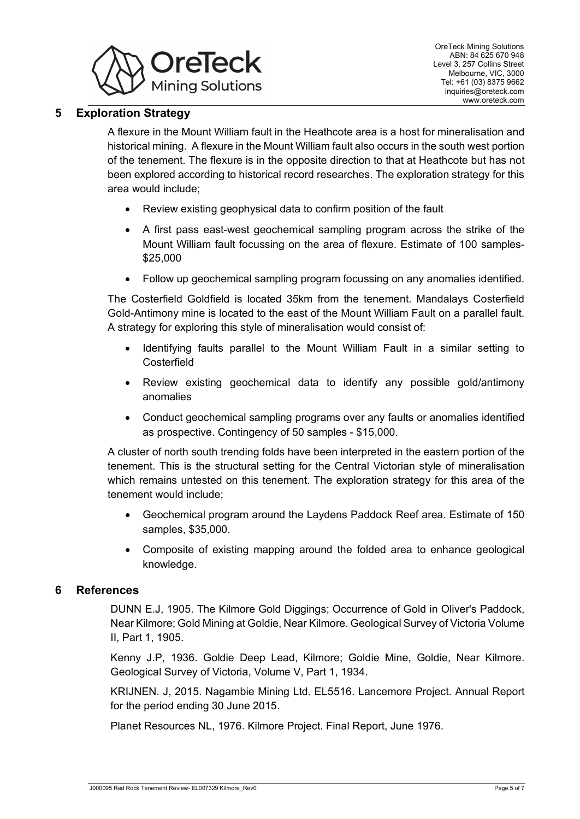

# **5 Exploration Strategy**

A flexure in the Mount William fault in the Heathcote area is a host for mineralisation and historical mining. A flexure in the Mount William fault also occurs in the south west portion of the tenement. The flexure is in the opposite direction to that at Heathcote but has not been explored according to historical record researches. The exploration strategy for this area would include;

- Review existing geophysical data to confirm position of the fault
- A first pass east-west geochemical sampling program across the strike of the Mount William fault focussing on the area of flexure. Estimate of 100 samples- \$25,000
- Follow up geochemical sampling program focussing on any anomalies identified.

The Costerfield Goldfield is located 35km from the tenement. Mandalays Costerfield Gold-Antimony mine is located to the east of the Mount William Fault on a parallel fault. A strategy for exploring this style of mineralisation would consist of:

- Identifying faults parallel to the Mount William Fault in a similar setting to **Costerfield**
- Review existing geochemical data to identify any possible gold/antimony anomalies
- Conduct geochemical sampling programs over any faults or anomalies identified as prospective. Contingency of 50 samples - \$15,000.

A cluster of north south trending folds have been interpreted in the eastern portion of the tenement. This is the structural setting for the Central Victorian style of mineralisation which remains untested on this tenement. The exploration strategy for this area of the tenement would include;

- Geochemical program around the Laydens Paddock Reef area. Estimate of 150 samples, \$35,000.
- Composite of existing mapping around the folded area to enhance geological knowledge.

#### **6 References**

DUNN E.J, 1905. The Kilmore Gold Diggings; Occurrence of Gold in Oliver's Paddock, Near Kilmore; Gold Mining at Goldie, Near Kilmore. Geological Survey of Victoria Volume II, Part 1, 1905.

Kenny J.P, 1936. Goldie Deep Lead, Kilmore; Goldie Mine, Goldie, Near Kilmore. Geological Survey of Victoria, Volume V, Part 1, 1934.

KRIJNEN. J, 2015. Nagambie Mining Ltd. EL5516. Lancemore Project. Annual Report for the period ending 30 June 2015.

Planet Resources NL, 1976. Kilmore Project. Final Report, June 1976.